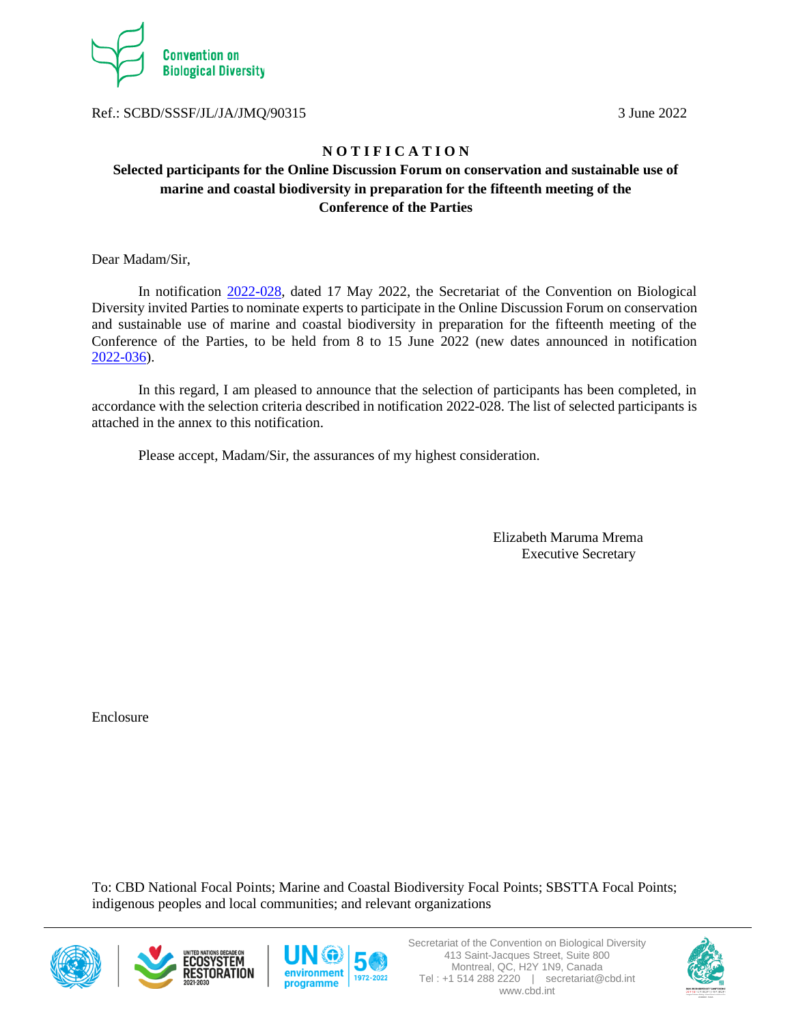

Ref.: SCBD/SSSF/JL/JA/JMQ/90315 3 June 2022

### **N O T I F I C A T I O N**

## **Selected participants for the Online Discussion Forum on conservation and sustainable use of marine and coastal biodiversity in preparation for the fifteenth meeting of the Conference of the Parties**

Dear Madam/Sir,

In notification [2022-028,](https://www.cbd.int/doc/notifications/2022/ntf-2022-028-marine-en.pdf) dated 17 May 2022, the Secretariat of the Convention on Biological Diversity invited Parties to nominate experts to participate in the Online Discussion Forum on conservation and sustainable use of marine and coastal biodiversity in preparation for the fifteenth meeting of the Conference of the Parties, to be held from 8 to 15 June 2022 (new dates announced in notification [2022-036\)](https://www.cbd.int/doc/notifications/2022/ntf-2022-036-marine-en.pdf).

In this regard, I am pleased to announce that the selection of participants has been completed, in accordance with the selection criteria described in notification 2022-028. The list of selected participants is attached in the annex to this notification.

Please accept, Madam/Sir, the assurances of my highest consideration.

 Elizabeth Maruma Mrema Executive Secretary

Enclosure

To: CBD National Focal Points; Marine and Coastal Biodiversity Focal Points; SBSTTA Focal Points; indigenous peoples and local communities; and relevant organizations







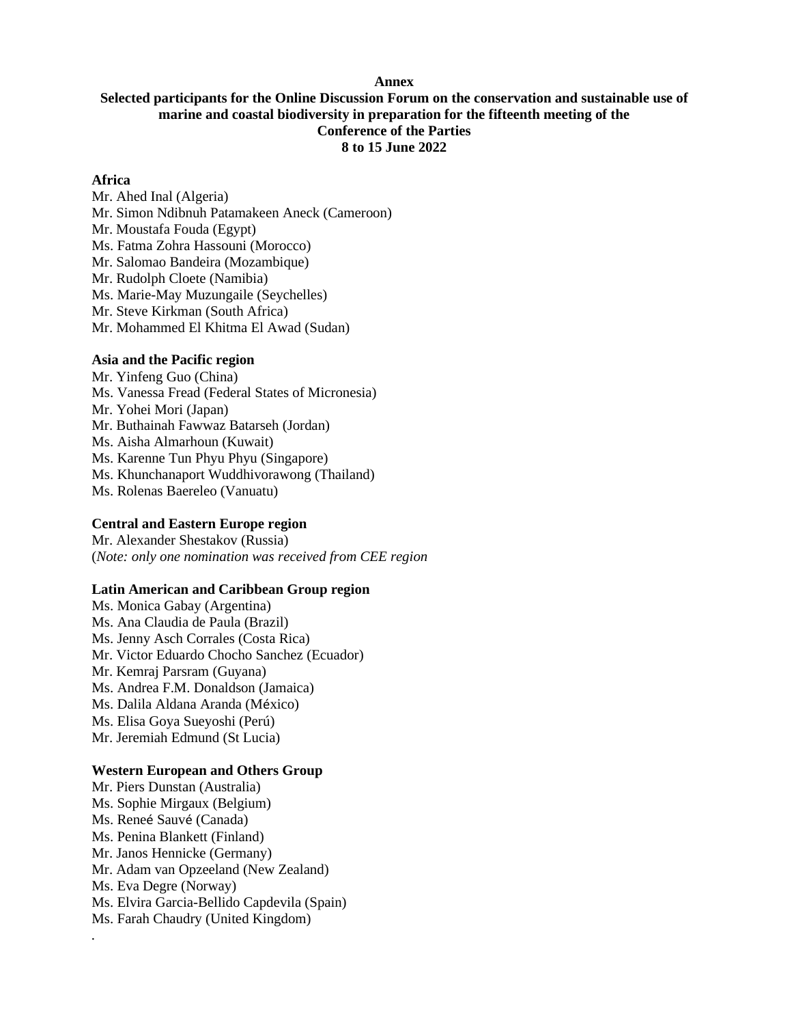### **Annex**

### **Selected participants for the Online Discussion Forum on the conservation and sustainable use of marine and coastal biodiversity in preparation for the fifteenth meeting of the Conference of the Parties 8 to 15 June 2022**

### **Africa**

Mr. Ahed Inal (Algeria) Mr. Simon Ndibnuh Patamakeen Aneck (Cameroon) Mr. Moustafa Fouda (Egypt) Ms. Fatma Zohra Hassouni (Morocco) Mr. Salomao Bandeira (Mozambique) Mr. Rudolph Cloete (Namibia) Ms. Marie-May Muzungaile (Seychelles) Mr. Steve Kirkman (South Africa) Mr. Mohammed El Khitma El Awad (Sudan)

# **Asia and the Pacific region**

Mr. Yinfeng Guo (China) Ms. Vanessa Fread (Federal States of Micronesia) Mr. Yohei Mori (Japan) Mr. Buthainah Fawwaz Batarseh (Jordan) Ms. Aisha Almarhoun (Kuwait) Ms. Karenne Tun Phyu Phyu (Singapore) Ms. Khunchanaport Wuddhivorawong (Thailand) Ms. Rolenas Baereleo (Vanuatu)

#### **Central and Eastern Europe region**

Mr. Alexander Shestakov (Russia) (*Note: only one nomination was received from CEE region*

### **Latin American and Caribbean Group region**

Ms. Monica Gabay (Argentina) Ms. Ana Claudia de Paula (Brazil) Ms. Jenny Asch Corrales (Costa Rica) Mr. Victor Eduardo Chocho Sanchez (Ecuador) Mr. Kemraj Parsram (Guyana) Ms. Andrea F.M. Donaldson (Jamaica) Ms. Dalila Aldana Aranda (México) Ms. Elisa Goya Sueyoshi (Perú) Mr. Jeremiah Edmund (St Lucia)

### **Western European and Others Group**

Mr. Piers Dunstan (Australia) Ms. Sophie Mirgaux (Belgium) Ms. Reneé Sauvé (Canada) Ms. Penina Blankett (Finland) Mr. Janos Hennicke (Germany) Mr. Adam van Opzeeland (New Zealand) Ms. Eva Degre (Norway) Ms. Elvira Garcia-Bellido Capdevila (Spain) Ms. Farah Chaudry (United Kingdom)

*.*